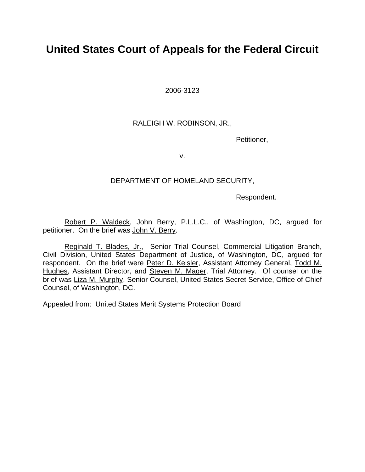2006-3123

## RALEIGH W. ROBINSON, JR.,

Petitioner,

v.

## DEPARTMENT OF HOMELAND SECURITY,

Respondent.

Robert P. Waldeck, John Berry, P.L.L.C., of Washington, DC, argued for petitioner. On the brief was John V. Berry.

Reginald T. Blades, Jr., Senior Trial Counsel, Commercial Litigation Branch, Civil Division, United States Department of Justice, of Washington, DC, argued for respondent. On the brief were Peter D. Keisler, Assistant Attorney General, Todd M. Hughes, Assistant Director, and Steven M. Mager, Trial Attorney. Of counsel on the brief was Liza M. Murphy, Senior Counsel, United States Secret Service, Office of Chief Counsel, of Washington, DC.

Appealed from: United States Merit Systems Protection Board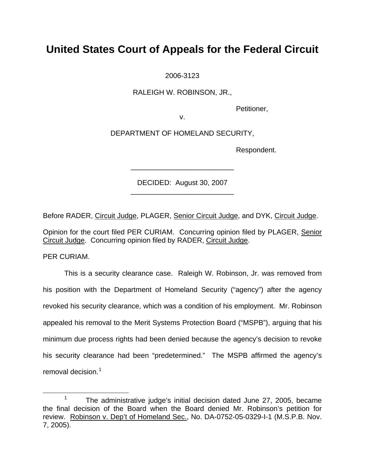2006-3123

RALEIGH W. ROBINSON, JR.,

Petitioner,

v.

DEPARTMENT OF HOMELAND SECURITY,

Respondent.

DECIDED: August 30, 2007 \_\_\_\_\_\_\_\_\_\_\_\_\_\_\_\_\_\_\_\_\_\_\_\_\_\_

\_\_\_\_\_\_\_\_\_\_\_\_\_\_\_\_\_\_\_\_\_\_\_\_\_\_

Before RADER, Circuit Judge, PLAGER, Senior Circuit Judge, and DYK, Circuit Judge.

Opinion for the court filed PER CURIAM. Concurring opinion filed by PLAGER, Senior Circuit Judge. Concurring opinion filed by RADER, Circuit Judge.

PER CURIAM.

This is a security clearance case. Raleigh W. Robinson, Jr. was removed from his position with the Department of Homeland Security ("agency") after the agency revoked his security clearance, which was a condition of his employment. Mr. Robinson appealed his removal to the Merit Systems Protection Board ("MSPB"), arguing that his minimum due process rights had been denied because the agency's decision to revoke his security clearance had been "predetermined." The MSPB affirmed the agency's removal decision.<sup>[1](#page-1-0)</sup>

<span id="page-1-0"></span> <sup>1</sup> <sup>1</sup> The administrative judge's initial decision dated June 27, 2005, became the final decision of the Board when the Board denied Mr. Robinson's petition for review. Robinson v. Dep't of Homeland Sec., No. DA-0752-05-0329-I-1 (M.S.P.B. Nov. 7, 2005).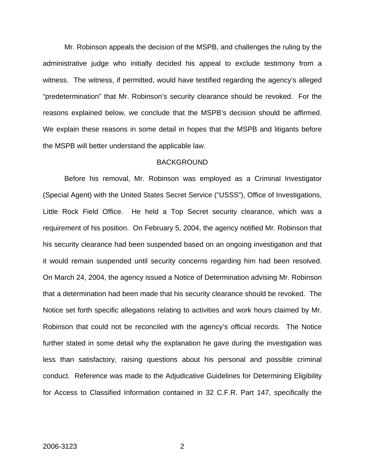Mr. Robinson appeals the decision of the MSPB, and challenges the ruling by the administrative judge who initially decided his appeal to exclude testimony from a witness. The witness, if permitted, would have testified regarding the agency's alleged "predetermination" that Mr. Robinson's security clearance should be revoked. For the reasons explained below, we conclude that the MSPB's decision should be affirmed. We explain these reasons in some detail in hopes that the MSPB and litigants before the MSPB will better understand the applicable law.

#### **BACKGROUND**

Before his removal, Mr. Robinson was employed as a Criminal Investigator (Special Agent) with the United States Secret Service ("USSS"), Office of Investigations, Little Rock Field Office. He held a Top Secret security clearance, which was a requirement of his position. On February 5, 2004, the agency notified Mr. Robinson that his security clearance had been suspended based on an ongoing investigation and that it would remain suspended until security concerns regarding him had been resolved. On March 24, 2004, the agency issued a Notice of Determination advising Mr. Robinson that a determination had been made that his security clearance should be revoked. The Notice set forth specific allegations relating to activities and work hours claimed by Mr. Robinson that could not be reconciled with the agency's official records. The Notice further stated in some detail why the explanation he gave during the investigation was less than satisfactory, raising questions about his personal and possible criminal conduct. Reference was made to the Adjudicative Guidelines for Determining Eligibility for Access to Classified Information contained in 32 C.F.R. Part 147, specifically the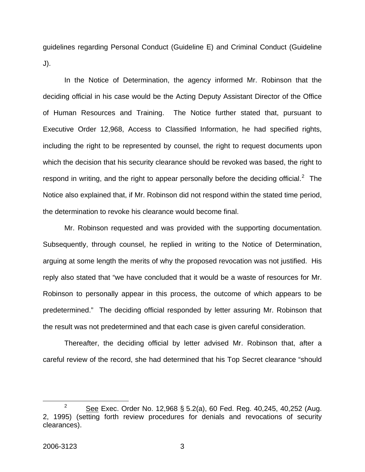guidelines regarding Personal Conduct (Guideline E) and Criminal Conduct (Guideline J).

In the Notice of Determination, the agency informed Mr. Robinson that the deciding official in his case would be the Acting Deputy Assistant Director of the Office of Human Resources and Training. The Notice further stated that, pursuant to Executive Order 12,968, Access to Classified Information, he had specified rights, including the right to be represented by counsel, the right to request documents upon which the decision that his security clearance should be revoked was based, the right to respond in writing, and the right to appear personally before the deciding official.<sup>[2](#page-3-0)</sup> The Notice also explained that, if Mr. Robinson did not respond within the stated time period, the determination to revoke his clearance would become final.

Mr. Robinson requested and was provided with the supporting documentation. Subsequently, through counsel, he replied in writing to the Notice of Determination, arguing at some length the merits of why the proposed revocation was not justified. His reply also stated that "we have concluded that it would be a waste of resources for Mr. Robinson to personally appear in this process, the outcome of which appears to be predetermined." The deciding official responded by letter assuring Mr. Robinson that the result was not predetermined and that each case is given careful consideration.

Thereafter, the deciding official by letter advised Mr. Robinson that, after a careful review of the record, she had determined that his Top Secret clearance "should

<span id="page-3-0"></span> $\frac{1}{2}$  $\frac{3}{2}$  See Exec. Order No. 12,968 § 5.2(a), 60 Fed. Reg. 40,245, 40,252 (Aug. 2, 1995) (setting forth review procedures for denials and revocations of security clearances).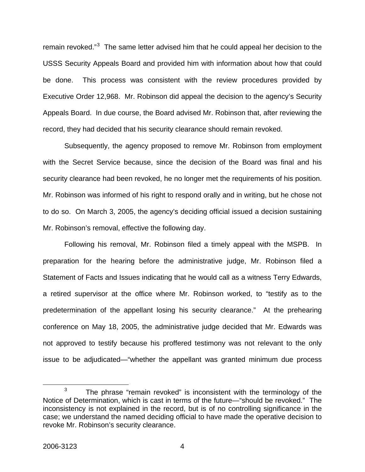remain revoked."<sup>[3](#page-4-0)</sup> The same letter advised him that he could appeal her decision to the USSS Security Appeals Board and provided him with information about how that could be done. This process was consistent with the review procedures provided by Executive Order 12,968. Mr. Robinson did appeal the decision to the agency's Security Appeals Board. In due course, the Board advised Mr. Robinson that, after reviewing the record, they had decided that his security clearance should remain revoked.

Subsequently, the agency proposed to remove Mr. Robinson from employment with the Secret Service because, since the decision of the Board was final and his security clearance had been revoked, he no longer met the requirements of his position. Mr. Robinson was informed of his right to respond orally and in writing, but he chose not to do so. On March 3, 2005, the agency's deciding official issued a decision sustaining Mr. Robinson's removal, effective the following day.

Following his removal, Mr. Robinson filed a timely appeal with the MSPB. In preparation for the hearing before the administrative judge, Mr. Robinson filed a Statement of Facts and Issues indicating that he would call as a witness Terry Edwards, a retired supervisor at the office where Mr. Robinson worked, to "testify as to the predetermination of the appellant losing his security clearance." At the prehearing conference on May 18, 2005, the administrative judge decided that Mr. Edwards was not approved to testify because his proffered testimony was not relevant to the only issue to be adjudicated—"whether the appellant was granted minimum due process

<span id="page-4-0"></span> $\frac{1}{3}$  $3$  The phrase "remain revoked" is inconsistent with the terminology of the Notice of Determination, which is cast in terms of the future—"should be revoked." The inconsistency is not explained in the record, but is of no controlling significance in the case; we understand the named deciding official to have made the operative decision to revoke Mr. Robinson's security clearance.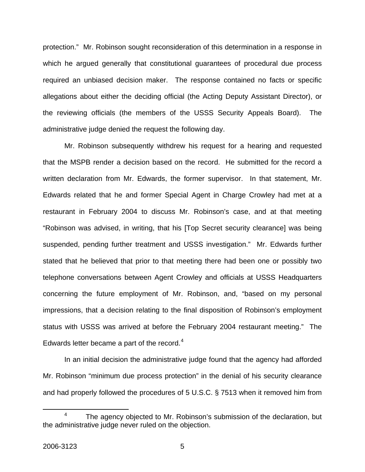protection." Mr. Robinson sought reconsideration of this determination in a response in which he argued generally that constitutional guarantees of procedural due process required an unbiased decision maker. The response contained no facts or specific allegations about either the deciding official (the Acting Deputy Assistant Director), or the reviewing officials (the members of the USSS Security Appeals Board). The administrative judge denied the request the following day.

Mr. Robinson subsequently withdrew his request for a hearing and requested that the MSPB render a decision based on the record. He submitted for the record a written declaration from Mr. Edwards, the former supervisor. In that statement, Mr. Edwards related that he and former Special Agent in Charge Crowley had met at a restaurant in February 2004 to discuss Mr. Robinson's case, and at that meeting "Robinson was advised, in writing, that his [Top Secret security clearance] was being suspended, pending further treatment and USSS investigation." Mr. Edwards further stated that he believed that prior to that meeting there had been one or possibly two telephone conversations between Agent Crowley and officials at USSS Headquarters concerning the future employment of Mr. Robinson, and, "based on my personal impressions, that a decision relating to the final disposition of Robinson's employment status with USSS was arrived at before the February 2004 restaurant meeting." The Edwards letter became a part of the record. $4$ 

In an initial decision the administrative judge found that the agency had afforded Mr. Robinson "minimum due process protection" in the denial of his security clearance and had properly followed the procedures of 5 U.S.C. § 7513 when it removed him from

<span id="page-5-0"></span> $\overline{4}$  The agency objected to Mr. Robinson's submission of the declaration, but the administrative judge never ruled on the objection.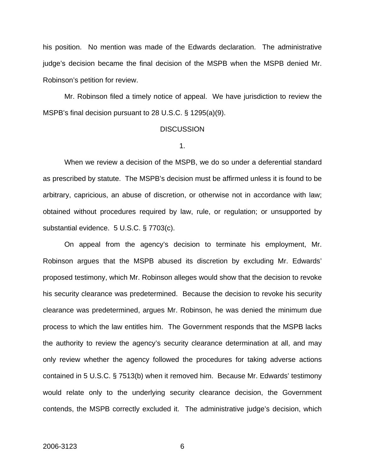his position. No mention was made of the Edwards declaration. The administrative judge's decision became the final decision of the MSPB when the MSPB denied Mr. Robinson's petition for review.

Mr. Robinson filed a timely notice of appeal. We have jurisdiction to review the MSPB's final decision pursuant to 28 U.S.C. § 1295(a)(9).

#### **DISCUSSION**

1.

When we review a decision of the MSPB, we do so under a deferential standard as prescribed by statute. The MSPB's decision must be affirmed unless it is found to be arbitrary, capricious, an abuse of discretion, or otherwise not in accordance with law; obtained without procedures required by law, rule, or regulation; or unsupported by substantial evidence. 5 U.S.C. § 7703(c).

On appeal from the agency's decision to terminate his employment, Mr. Robinson argues that the MSPB abused its discretion by excluding Mr. Edwards' proposed testimony, which Mr. Robinson alleges would show that the decision to revoke his security clearance was predetermined. Because the decision to revoke his security clearance was predetermined, argues Mr. Robinson, he was denied the minimum due process to which the law entitles him. The Government responds that the MSPB lacks the authority to review the agency's security clearance determination at all, and may only review whether the agency followed the procedures for taking adverse actions contained in 5 U.S.C. § 7513(b) when it removed him. Because Mr. Edwards' testimony would relate only to the underlying security clearance decision, the Government contends, the MSPB correctly excluded it. The administrative judge's decision, which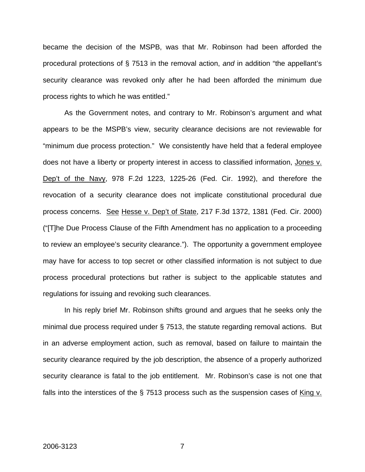became the decision of the MSPB, was that Mr. Robinson had been afforded the procedural protections of § 7513 in the removal action, *and* in addition "the appellant's security clearance was revoked only after he had been afforded the minimum due process rights to which he was entitled."

As the Government notes, and contrary to Mr. Robinson's argument and what appears to be the MSPB's view, security clearance decisions are not reviewable for "minimum due process protection." We consistently have held that a federal employee does not have a liberty or property interest in access to classified information, Jones v. Dep't of the Navy, 978 F.2d 1223, 1225-26 (Fed. Cir. 1992), and therefore the revocation of a security clearance does not implicate constitutional procedural due process concerns. See Hesse v. Dep't of State, 217 F.3d 1372, 1381 (Fed. Cir. 2000) ("[T]he Due Process Clause of the Fifth Amendment has no application to a proceeding to review an employee's security clearance."). The opportunity a government employee may have for access to top secret or other classified information is not subject to due process procedural protections but rather is subject to the applicable statutes and regulations for issuing and revoking such clearances.

In his reply brief Mr. Robinson shifts ground and argues that he seeks only the minimal due process required under § 7513, the statute regarding removal actions. But in an adverse employment action, such as removal, based on failure to maintain the security clearance required by the job description, the absence of a properly authorized security clearance is fatal to the job entitlement. Mr. Robinson's case is not one that falls into the interstices of the  $\S$  7513 process such as the suspension cases of King  $v$ .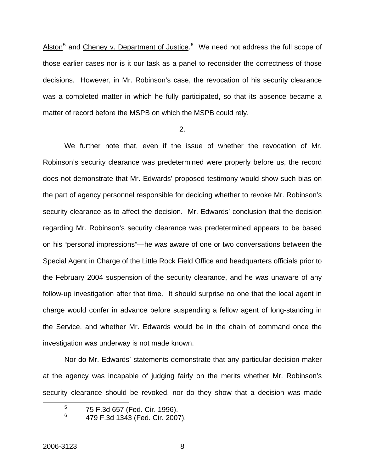Alston<sup>[5](#page-8-0)</sup> and Cheney v. Department of Justice.<sup>[6](#page-8-1)</sup> We need not address the full scope of those earlier cases nor is it our task as a panel to reconsider the correctness of those decisions. However, in Mr. Robinson's case, the revocation of his security clearance was a completed matter in which he fully participated, so that its absence became a matter of record before the MSPB on which the MSPB could rely.

#### 2.

We further note that, even if the issue of whether the revocation of Mr. Robinson's security clearance was predetermined were properly before us, the record does not demonstrate that Mr. Edwards' proposed testimony would show such bias on the part of agency personnel responsible for deciding whether to revoke Mr. Robinson's security clearance as to affect the decision. Mr. Edwards' conclusion that the decision regarding Mr. Robinson's security clearance was predetermined appears to be based on his "personal impressions"—he was aware of one or two conversations between the Special Agent in Charge of the Little Rock Field Office and headquarters officials prior to the February 2004 suspension of the security clearance, and he was unaware of any follow-up investigation after that time. It should surprise no one that the local agent in charge would confer in advance before suspending a fellow agent of long-standing in the Service, and whether Mr. Edwards would be in the chain of command once the investigation was underway is not made known.

Nor do Mr. Edwards' statements demonstrate that any particular decision maker at the agency was incapable of judging fairly on the merits whether Mr. Robinson's security clearance should be revoked, nor do they show that a decision was made

<span id="page-8-1"></span><span id="page-8-0"></span> $\frac{1}{5}$  $5$  75 F.3d 657 (Fed. Cir. 1996).

<sup>6</sup> 479 F.3d 1343 (Fed. Cir. 2007).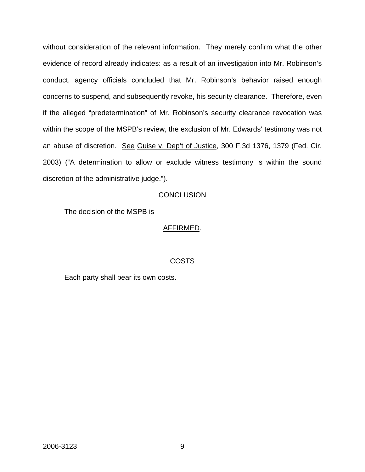without consideration of the relevant information. They merely confirm what the other evidence of record already indicates: as a result of an investigation into Mr. Robinson's conduct, agency officials concluded that Mr. Robinson's behavior raised enough concerns to suspend, and subsequently revoke, his security clearance. Therefore, even if the alleged "predetermination" of Mr. Robinson's security clearance revocation was within the scope of the MSPB's review, the exclusion of Mr. Edwards' testimony was not an abuse of discretion. See Guise v. Dep't of Justice, 300 F.3d 1376, 1379 (Fed. Cir. 2003) ("A determination to allow or exclude witness testimony is within the sound discretion of the administrative judge.").

### **CONCLUSION**

The decision of the MSPB is

### AFFIRMED.

#### COSTS

Each party shall bear its own costs.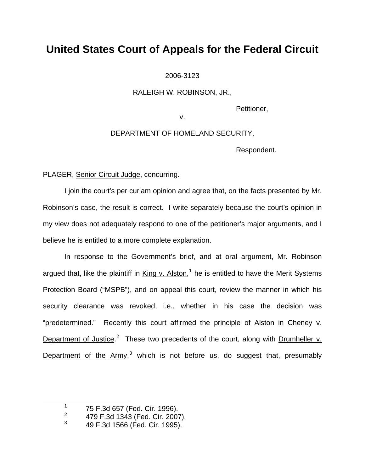2006-3123

RALEIGH W. ROBINSON, JR.,

Petitioner,

v.

DEPARTMENT OF HOMELAND SECURITY,

Respondent.

PLAGER, Senior Circuit Judge, concurring.

I join the court's per curiam opinion and agree that, on the facts presented by Mr. Robinson's case, the result is correct. I write separately because the court's opinion in my view does not adequately respond to one of the petitioner's major arguments, and I believe he is entitled to a more complete explanation.

In response to the Government's brief, and at oral argument, Mr. Robinson argued that, like the plaintiff in King v. Alston,<sup>[1](#page-10-0)</sup> he is entitled to have the Merit Systems Protection Board ("MSPB"), and on appeal this court, review the manner in which his security clearance was revoked, i.e., whether in his case the decision was "predetermined." Recently this court affirmed the principle of Alston in Cheney v. Department of Justice.<sup>[2](#page-10-1)</sup> These two precedents of the court, along with Drumheller v. Department of the Army,<sup>[3](#page-10-2)</sup> which is not before us, do suggest that, presumably

<span id="page-10-2"></span><span id="page-10-1"></span><span id="page-10-0"></span>1

 $1$  75 F.3d 657 (Fed. Cir. 1996).

<sup>2</sup> 479 F.3d 1343 (Fed. Cir. 2007).

<sup>3</sup> 49 F.3d 1566 (Fed. Cir. 1995).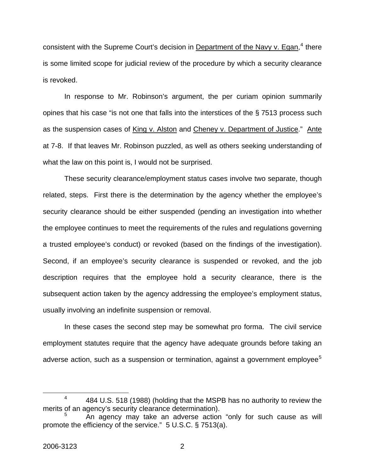consistent with the Supreme Court's decision in Department of the Navy v. Egan,<sup>[4](#page-11-0)</sup> there is some limited scope for judicial review of the procedure by which a security clearance is revoked.

In response to Mr. Robinson's argument, the per curiam opinion summarily opines that his case "is not one that falls into the interstices of the § 7513 process such as the suspension cases of King v. Alston and Cheney v. Department of Justice." Ante at 7-8. If that leaves Mr. Robinson puzzled, as well as others seeking understanding of what the law on this point is, I would not be surprised.

These security clearance/employment status cases involve two separate, though related, steps. First there is the determination by the agency whether the employee's security clearance should be either suspended (pending an investigation into whether the employee continues to meet the requirements of the rules and regulations governing a trusted employee's conduct) or revoked (based on the findings of the investigation). Second, if an employee's security clearance is suspended or revoked, and the job description requires that the employee hold a security clearance, there is the subsequent action taken by the agency addressing the employee's employment status, usually involving an indefinite suspension or removal.

In these cases the second step may be somewhat pro forma. The civil service employment statutes require that the agency have adequate grounds before taking an adverse action, such as a suspension or termination, against a government employee<sup>[5](#page-11-1)</sup>

<span id="page-11-0"></span> $\frac{1}{4}$ 4 484 U.S. 518 (1988) (holding that the MSPB has no authority to review the merits of an agency's security clearance determination).

<span id="page-11-1"></span><sup>5</sup> An agency may take an adverse action "only for such cause as will promote the efficiency of the service." 5 U.S.C. § 7513(a).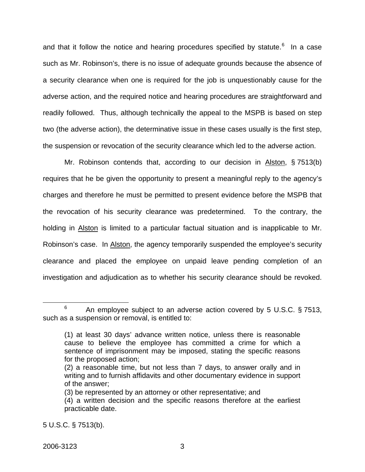and that it follow the notice and hearing procedures specified by statute.<sup>[6](#page-12-0)</sup> In a case such as Mr. Robinson's, there is no issue of adequate grounds because the absence of a security clearance when one is required for the job is unquestionably cause for the adverse action, and the required notice and hearing procedures are straightforward and readily followed. Thus, although technically the appeal to the MSPB is based on step two (the adverse action), the determinative issue in these cases usually is the first step, the suspension or revocation of the security clearance which led to the adverse action.

Mr. Robinson contends that, according to our decision in Alston, § 7513(b) requires that he be given the opportunity to present a meaningful reply to the agency's charges and therefore he must be permitted to present evidence before the MSPB that the revocation of his security clearance was predetermined. To the contrary, the holding in Alston is limited to a particular factual situation and is inapplicable to Mr. Robinson's case. In Alston, the agency temporarily suspended the employee's security clearance and placed the employee on unpaid leave pending completion of an investigation and adjudication as to whether his security clearance should be revoked.

<span id="page-12-0"></span> $\overline{6}$ <sup>6</sup> An employee subject to an adverse action covered by 5 U.S.C. § 7513, such as a suspension or removal, is entitled to:

<sup>(1)</sup> at least 30 days' advance written notice, unless there is reasonable cause to believe the employee has committed a crime for which a sentence of imprisonment may be imposed, stating the specific reasons for the proposed action;

<sup>(2)</sup> a reasonable time, but not less than 7 days, to answer orally and in writing and to furnish affidavits and other documentary evidence in support of the answer;

<sup>(3)</sup> be represented by an attorney or other representative; and

<sup>(4)</sup> a written decision and the specific reasons therefore at the earliest practicable date.

<sup>5</sup> U.S.C. § 7513(b).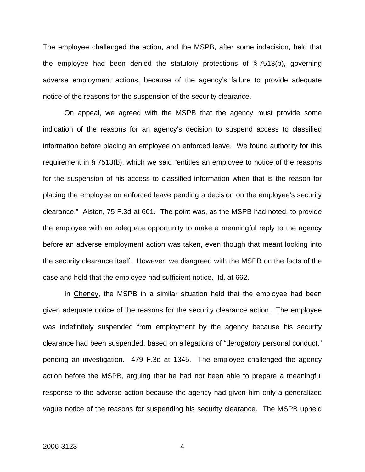The employee challenged the action, and the MSPB, after some indecision, held that the employee had been denied the statutory protections of § 7513(b), governing adverse employment actions, because of the agency's failure to provide adequate notice of the reasons for the suspension of the security clearance.

On appeal, we agreed with the MSPB that the agency must provide some indication of the reasons for an agency's decision to suspend access to classified information before placing an employee on enforced leave. We found authority for this requirement in § 7513(b), which we said "entitles an employee to notice of the reasons for the suspension of his access to classified information when that is the reason for placing the employee on enforced leave pending a decision on the employee's security clearance." Alston, 75 F.3d at 661. The point was, as the MSPB had noted, to provide the employee with an adequate opportunity to make a meaningful reply to the agency before an adverse employment action was taken, even though that meant looking into the security clearance itself. However, we disagreed with the MSPB on the facts of the case and held that the employee had sufficient notice. Id. at 662.

In Cheney, the MSPB in a similar situation held that the employee had been given adequate notice of the reasons for the security clearance action. The employee was indefinitely suspended from employment by the agency because his security clearance had been suspended, based on allegations of "derogatory personal conduct," pending an investigation. 479 F.3d at 1345. The employee challenged the agency action before the MSPB, arguing that he had not been able to prepare a meaningful response to the adverse action because the agency had given him only a generalized vague notice of the reasons for suspending his security clearance. The MSPB upheld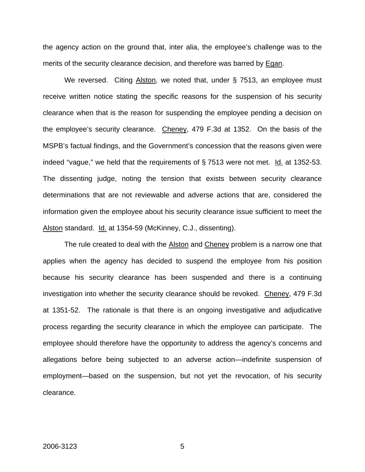the agency action on the ground that, inter alia, the employee's challenge was to the merits of the security clearance decision, and therefore was barred by Egan.

We reversed. Citing Alston, we noted that, under § 7513, an employee must receive written notice stating the specific reasons for the suspension of his security clearance when that is the reason for suspending the employee pending a decision on the employee's security clearance. Cheney, 479 F.3d at 1352. On the basis of the MSPB's factual findings, and the Government's concession that the reasons given were indeed "vague," we held that the requirements of § 7513 were not met. Id. at 1352-53. The dissenting judge, noting the tension that exists between security clearance determinations that are not reviewable and adverse actions that are, considered the information given the employee about his security clearance issue sufficient to meet the Alston standard. Id. at 1354-59 (McKinney, C.J., dissenting).

The rule created to deal with the Alston and Cheney problem is a narrow one that applies when the agency has decided to suspend the employee from his position because his security clearance has been suspended and there is a continuing investigation into whether the security clearance should be revoked. Cheney, 479 F.3d at 1351-52. The rationale is that there is an ongoing investigative and adjudicative process regarding the security clearance in which the employee can participate. The employee should therefore have the opportunity to address the agency's concerns and allegations before being subjected to an adverse action—indefinite suspension of employment—based on the suspension, but not yet the revocation, of his security clearance.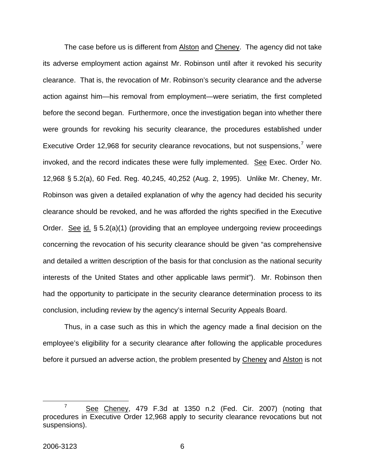The case before us is different from Alston and Cheney. The agency did not take its adverse employment action against Mr. Robinson until after it revoked his security clearance. That is, the revocation of Mr. Robinson's security clearance and the adverse action against him—his removal from employment—were seriatim, the first completed before the second began. Furthermore, once the investigation began into whether there were grounds for revoking his security clearance, the procedures established under Executive Order 12,968 for security clearance revocations, but not suspensions,<sup>[7](#page-15-0)</sup> were invoked, and the record indicates these were fully implemented. See Exec. Order No. 12,968 § 5.2(a), 60 Fed. Reg. 40,245, 40,252 (Aug. 2, 1995). Unlike Mr. Cheney, Mr. Robinson was given a detailed explanation of why the agency had decided his security clearance should be revoked, and he was afforded the rights specified in the Executive Order. See id. § 5.2(a)(1) (providing that an employee undergoing review proceedings concerning the revocation of his security clearance should be given "as comprehensive and detailed a written description of the basis for that conclusion as the national security interests of the United States and other applicable laws permit"). Mr. Robinson then had the opportunity to participate in the security clearance determination process to its conclusion, including review by the agency's internal Security Appeals Board.

Thus, in a case such as this in which the agency made a final decision on the employee's eligibility for a security clearance after following the applicable procedures before it pursued an adverse action, the problem presented by Cheney and Alston is not

<span id="page-15-0"></span> $\overline{7}$  $\frac{7}{1}$  See Cheney, 479 F.3d at 1350 n.2 (Fed. Cir. 2007) (noting that procedures in Executive Order 12,968 apply to security clearance revocations but not suspensions).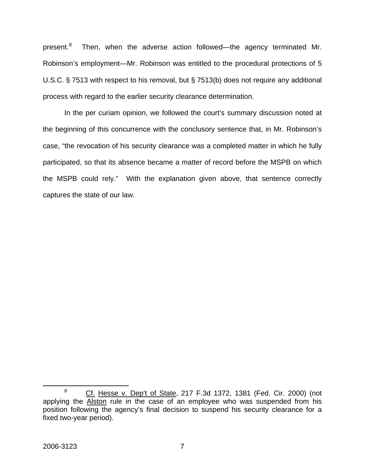present.<sup>[8](#page-16-0)</sup> Then, when the adverse action followed—the agency terminated Mr. Robinson's employment—Mr. Robinson was entitled to the procedural protections of 5 U.S.C. § 7513 with respect to his removal, but § 7513(b) does not require any additional process with regard to the earlier security clearance determination.

In the per curiam opinion, we followed the court's summary discussion noted at the beginning of this concurrence with the conclusory sentence that, in Mr. Robinson's case, "the revocation of his security clearance was a completed matter in which he fully participated, so that its absence became a matter of record before the MSPB on which the MSPB could rely." With the explanation given above, that sentence correctly captures the state of our law.

<span id="page-16-0"></span> $\overline{a}$ 8 Cf. Hesse v. Dep't of State, 217 F.3d 1372, 1381 (Fed. Cir. 2000) (not applying the Alston rule in the case of an employee who was suspended from his position following the agency's final decision to suspend his security clearance for a fixed two-year period).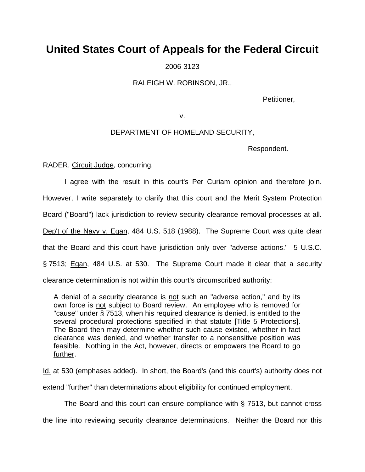2006-3123

RALEIGH W. ROBINSON, JR.,

Petitioner,

v.

### DEPARTMENT OF HOMELAND SECURITY,

Respondent.

RADER, Circuit Judge, concurring.

 I agree with the result in this court's Per Curiam opinion and therefore join. However, I write separately to clarify that this court and the Merit System Protection Board ("Board") lack jurisdiction to review security clearance removal processes at all. Dep't of the Navy v. Egan, 484 U.S. 518 (1988). The Supreme Court was quite clear that the Board and this court have jurisdiction only over "adverse actions." 5 U.S.C. § 7513; Egan, 484 U.S. at 530. The Supreme Court made it clear that a security clearance determination is not within this court's circumscribed authority:

A denial of a security clearance is not such an "adverse action," and by its own force is not subject to Board review. An employee who is removed for "cause" under § 7513, when his required clearance is denied, is entitled to the several procedural protections specified in that statute [Title 5 Protections]. The Board then may determine whether such cause existed, whether in fact clearance was denied, and whether transfer to a nonsensitive position was feasible. Nothing in the Act, however, directs or empowers the Board to go further.

Id. at 530 (emphases added). In short, the Board's (and this court's) authority does not

extend "further" than determinations about eligibility for continued employment.

The Board and this court can ensure compliance with § 7513, but cannot cross

the line into reviewing security clearance determinations. Neither the Board nor this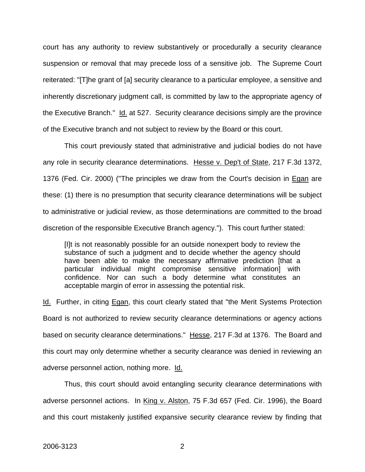court has any authority to review substantively or procedurally a security clearance suspension or removal that may precede loss of a sensitive job. The Supreme Court reiterated: "[T]he grant of [a] security clearance to a particular employee, a sensitive and inherently discretionary judgment call, is committed by law to the appropriate agency of the Executive Branch." Id. at 527. Security clearance decisions simply are the province of the Executive branch and not subject to review by the Board or this court.

 This court previously stated that administrative and judicial bodies do not have any role in security clearance determinations. Hesse v. Dep't of State, 217 F.3d 1372, 1376 (Fed. Cir. 2000) ("The principles we draw from the Court's decision in Egan are these: (1) there is no presumption that security clearance determinations will be subject to administrative or judicial review, as those determinations are committed to the broad discretion of the responsible Executive Branch agency."). This court further stated:

[I]t is not reasonably possible for an outside nonexpert body to review the substance of such a judgment and to decide whether the agency should have been able to make the necessary affirmative prediction [that a particular individual might compromise sensitive information] with confidence. Nor can such a body determine what constitutes an acceptable margin of error in assessing the potential risk.

Id. Further, in citing Egan, this court clearly stated that "the Merit Systems Protection Board is not authorized to review security clearance determinations or agency actions based on security clearance determinations." Hesse, 217 F.3d at 1376. The Board and this court may only determine whether a security clearance was denied in reviewing an adverse personnel action, nothing more. Id.

 Thus, this court should avoid entangling security clearance determinations with adverse personnel actions. In King v. Alston, 75 F.3d 657 (Fed. Cir. 1996), the Board and this court mistakenly justified expansive security clearance review by finding that